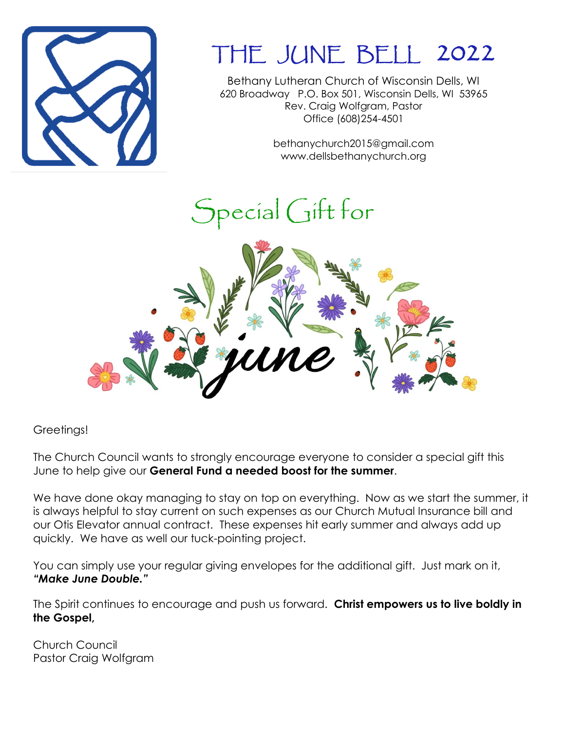

## THE JUNE BELL 2022

Bethany Lutheran Church of Wisconsin Dells, WI 620 Broadway P.O. Box 501, Wisconsin Dells, WI 53965 Rev. Craig Wolfgram, Pastor Office (608)254-4501

> bethanychurch2015@gmail.com www.dellsbethanychurch.org

# Special Gift for



Greetings!

The Church Council wants to strongly encourage everyone to consider a special gift this June to help give our **General Fund a needed boost for the summer**.

We have done okay managing to stay on top on everything. Now as we start the summer, it is always helpful to stay current on such expenses as our Church Mutual Insurance bill and our Otis Elevator annual contract. These expenses hit early summer and always add up quickly. We have as well our tuck-pointing project.

You can simply use your regular giving envelopes for the additional gift. Just mark on it, *"Make June Double."*

The Spirit continues to encourage and push us forward. **Christ empowers us to live boldly in the Gospel,**

Church Council Pastor Craig Wolfgram